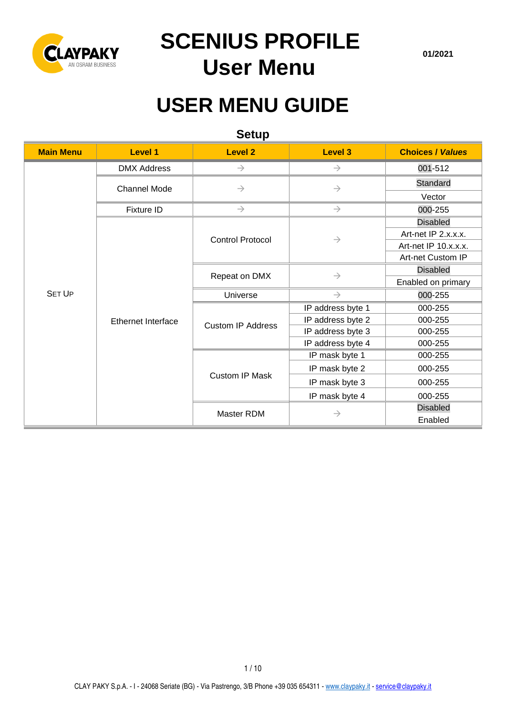

**01/2021**

# **USER MENU GUIDE**

**Setup**

| <b>Main Menu</b> | <b>Level 1</b>            | <b>Level 2</b>           | Level 3           | <b>Choices / Values</b> |
|------------------|---------------------------|--------------------------|-------------------|-------------------------|
|                  | <b>DMX Address</b>        | $\rightarrow$            | $\rightarrow$     | 001-512                 |
|                  | <b>Channel Mode</b>       | $\rightarrow$            | $\rightarrow$     | Standard                |
|                  |                           |                          |                   | Vector                  |
|                  | <b>Fixture ID</b>         | $\rightarrow$            | $\rightarrow$     | 000-255                 |
|                  | <b>Ethernet Interface</b> | <b>Control Protocol</b>  | $\rightarrow$     | <b>Disabled</b>         |
|                  |                           |                          |                   | Art-net IP 2.x.x.x.     |
| <b>SET UP</b>    |                           |                          |                   | Art-net IP 10.x.x.x.    |
|                  |                           |                          |                   | Art-net Custom IP       |
|                  |                           | Repeat on DMX            | $\rightarrow$     | <b>Disabled</b>         |
|                  |                           |                          |                   | Enabled on primary      |
|                  |                           | Universe                 | $\rightarrow$     | 000-255                 |
|                  |                           | <b>Custom IP Address</b> | IP address byte 1 | 000-255                 |
|                  |                           |                          | IP address byte 2 | 000-255                 |
|                  |                           |                          | IP address byte 3 | 000-255                 |
|                  |                           |                          | IP address byte 4 | 000-255                 |
|                  |                           | <b>Custom IP Mask</b>    | IP mask byte 1    | 000-255                 |
|                  |                           |                          | IP mask byte 2    | 000-255                 |
|                  |                           |                          | IP mask byte 3    | 000-255                 |
|                  |                           |                          | IP mask byte 4    | 000-255                 |
|                  |                           | Master RDM               | $\rightarrow$     | <b>Disabled</b>         |
|                  |                           |                          |                   | Enabled                 |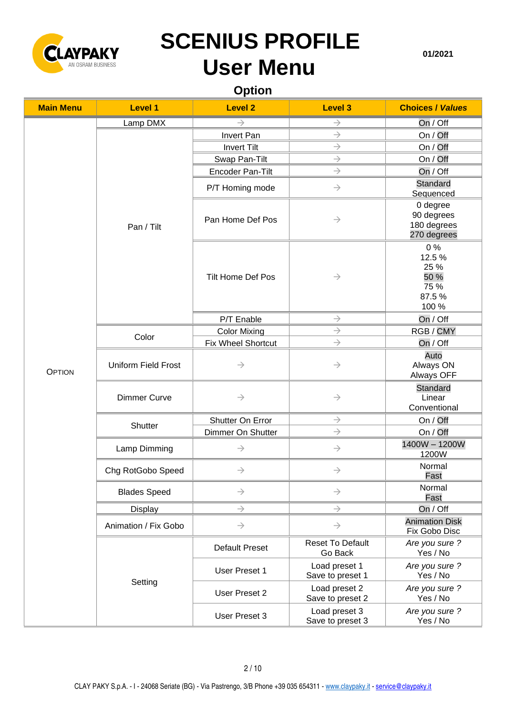

**01/2021**

# **Option**

| <b>Main Menu</b> | <b>Level 1</b>             | <b>Level 2</b>           | <b>Level 3</b>                     | <b>Choices / Values</b>                                   |
|------------------|----------------------------|--------------------------|------------------------------------|-----------------------------------------------------------|
|                  | Lamp DMX                   | $\rightarrow$            | $\rightarrow$                      | On / Off                                                  |
|                  |                            | <b>Invert Pan</b>        | $\rightarrow$                      | On / Off                                                  |
|                  |                            | <b>Invert Tilt</b>       | $\rightarrow$                      | On / Off                                                  |
|                  |                            | Swap Pan-Tilt            | $\rightarrow$                      | On / Off                                                  |
|                  |                            | Encoder Pan-Tilt         | $\rightarrow$                      | On / Off                                                  |
|                  | Pan / Tilt                 | P/T Homing mode          | $\rightarrow$                      | Standard<br>Sequenced                                     |
|                  |                            | Pan Home Def Pos         | $\rightarrow$                      | 0 degree<br>90 degrees<br>180 degrees<br>270 degrees      |
|                  |                            | <b>Tilt Home Def Pos</b> | $\rightarrow$                      | $0\%$<br>12.5 %<br>25 %<br>50 %<br>75 %<br>87.5%<br>100 % |
|                  |                            | P/T Enable               | $\rightarrow$                      | On / Off                                                  |
|                  | Color                      | <b>Color Mixing</b>      | $\rightarrow$                      | RGB/CMY                                                   |
|                  |                            | Fix Wheel Shortcut       | $\rightarrow$                      | On / Off                                                  |
| <b>OPTION</b>    | <b>Uniform Field Frost</b> | $\rightarrow$            | $\rightarrow$                      | Auto<br>Always ON<br>Always OFF                           |
|                  | <b>Dimmer Curve</b>        | $\rightarrow$            | $\rightarrow$                      | Standard<br>Linear<br>Conventional                        |
|                  | Shutter                    | Shutter On Error         | $\rightarrow$                      | On / Off                                                  |
|                  |                            | Dimmer On Shutter        | $\rightarrow$                      | On / Off                                                  |
|                  | Lamp Dimming               | $\rightarrow$            | $\rightarrow$                      | 1400W - 1200W<br>1200W                                    |
|                  | Chg RotGobo Speed          | $\rightarrow$            | $\rightarrow$                      | Normal<br>Fast                                            |
|                  | <b>Blades Speed</b>        | $\rightarrow$            | $\rightarrow$                      | Normal<br>Fast                                            |
|                  | Display                    | $\rightarrow$            | $\rightarrow$                      | On / Off                                                  |
|                  | Animation / Fix Gobo       | $\rightarrow$            | $\rightarrow$                      | <b>Animation Disk</b><br>Fix Gobo Disc                    |
|                  | Setting                    | <b>Default Preset</b>    | <b>Reset To Default</b><br>Go Back | Are you sure ?<br>Yes / No                                |
|                  |                            | User Preset 1            | Load preset 1<br>Save to preset 1  | Are you sure ?<br>Yes / No                                |
|                  |                            | User Preset 2            | Load preset 2<br>Save to preset 2  | Are you sure ?<br>Yes / No                                |
|                  |                            | User Preset 3            | Load preset 3<br>Save to preset 3  | Are you sure ?<br>Yes / No                                |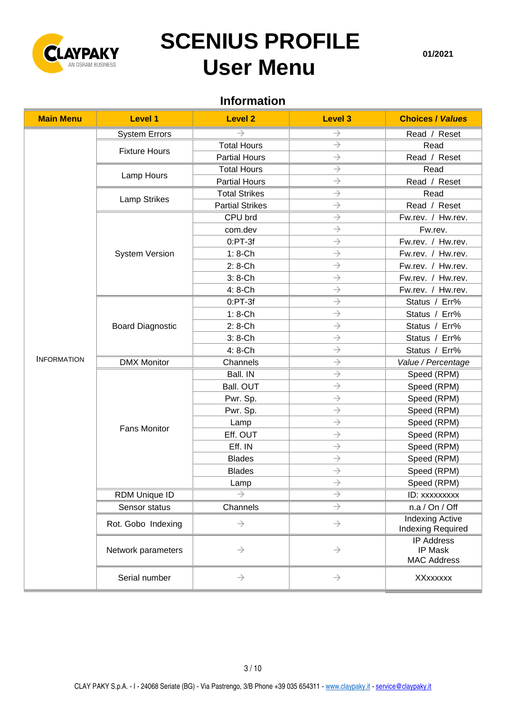

**01/2021**

# **Information**

| <b>Main Menu</b>   | <b>Level 1</b>          | <b>Level 2</b>         | <b>Level 3</b> | <b>Choices / Values</b>                            |
|--------------------|-------------------------|------------------------|----------------|----------------------------------------------------|
|                    | <b>System Errors</b>    | $\rightarrow$          | $\rightarrow$  | Read / Reset                                       |
|                    | <b>Fixture Hours</b>    | <b>Total Hours</b>     | $\rightarrow$  | Read                                               |
|                    |                         | <b>Partial Hours</b>   | $\rightarrow$  | Read / Reset                                       |
|                    |                         | <b>Total Hours</b>     | $\rightarrow$  | Read                                               |
|                    | Lamp Hours              | <b>Partial Hours</b>   | $\rightarrow$  | Read / Reset                                       |
|                    |                         | <b>Total Strikes</b>   | $\rightarrow$  | Read                                               |
|                    | Lamp Strikes            | <b>Partial Strikes</b> | $\rightarrow$  | Read / Reset                                       |
|                    |                         | CPU brd                | $\rightarrow$  | Fw.rev. / Hw.rev.                                  |
|                    |                         | com.dev                | $\rightarrow$  | Fw.rev.                                            |
|                    |                         | $0:PT-3f$              | $\rightarrow$  | Fw.rev. / Hw.rev.                                  |
|                    | <b>System Version</b>   | $1:8$ -Ch              | $\rightarrow$  | Fw.rev. / Hw.rev.                                  |
|                    |                         | 2: 8-Ch                | $\rightarrow$  | Fw.rev. / Hw.rev.                                  |
|                    |                         | $3:8$ -Ch              | $\rightarrow$  | Fw.rev. / Hw.rev.                                  |
|                    |                         | 4: 8-Ch                | $\rightarrow$  | Fw.rev. / Hw.rev.                                  |
|                    |                         | $0:PT-3f$              | $\rightarrow$  | Status / Err%                                      |
|                    |                         | $1:8$ -Ch              | $\rightarrow$  | Status / Err%                                      |
|                    | <b>Board Diagnostic</b> | 2: 8-Ch                | $\rightarrow$  | Status / Err%                                      |
|                    |                         | $3:8$ -Ch              | $\rightarrow$  | Status / Err%                                      |
|                    |                         | 4: 8-Ch                | $\rightarrow$  | Status / Err%                                      |
| <b>INFORMATION</b> | <b>DMX Monitor</b>      | Channels               | $\rightarrow$  | Value / Percentage                                 |
|                    |                         | Ball. IN               | $\rightarrow$  | Speed (RPM)                                        |
|                    |                         | Ball. OUT              | $\rightarrow$  | Speed (RPM)                                        |
|                    |                         | Pwr. Sp.               | $\rightarrow$  | Speed (RPM)                                        |
|                    |                         | Pwr. Sp.               | $\rightarrow$  | Speed (RPM)                                        |
|                    |                         | Lamp                   | $\rightarrow$  | Speed (RPM)                                        |
|                    | <b>Fans Monitor</b>     | Eff. OUT               | $\rightarrow$  | Speed (RPM)                                        |
|                    |                         | Eff. IN                | $\rightarrow$  | Speed (RPM)                                        |
|                    |                         | <b>Blades</b>          | $\rightarrow$  | Speed (RPM)                                        |
|                    |                         | <b>Blades</b>          | $\rightarrow$  | Speed (RPM)                                        |
|                    |                         | Lamp                   | $\rightarrow$  | Speed (RPM)                                        |
|                    | RDM Unique ID           | $\rightarrow$          | $\rightarrow$  | ID: xxxxxxxxx                                      |
|                    | Sensor status           | Channels               | $\rightarrow$  | n.a / On / Off                                     |
|                    | Rot. Gobo Indexing      | $\rightarrow$          | $\rightarrow$  | <b>Indexing Active</b><br><b>Indexing Required</b> |
|                    | Network parameters      | $\rightarrow$          | $\rightarrow$  | <b>IP Address</b><br>IP Mask<br><b>MAC Address</b> |
|                    | Serial number           | $\rightarrow$          | $\rightarrow$  | XXxxxxx                                            |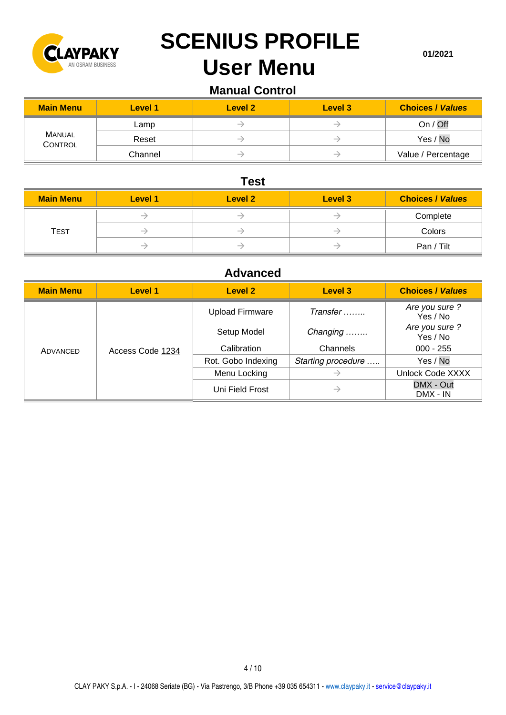

**01/2021**

# **Manual Control**

| <b>Main Menu</b>                | Level 1 | Level 2 | Level 3 | <b>Choices / Values</b> |
|---------------------------------|---------|---------|---------|-------------------------|
| <b>MANUAL</b><br><b>CONTROL</b> | Lamp    |         |         | On / Off                |
|                                 | Reset   |         |         | Yes / No                |
|                                 | Channel |         |         | Value / Percentage      |

# **Test**

| <b>Main Menu</b> | Level 1 | <b>Level 2</b> | Level 3 | <b>Choices / Values</b> |  |
|------------------|---------|----------------|---------|-------------------------|--|
|                  |         |                |         | Complete                |  |
| <b>TEST</b>      |         |                |         | Colors                  |  |
|                  |         |                |         | Pan / Tilt              |  |

# **Advanced**

| <b>Main Menu</b> | Level 1          | Level 2                | Level 3            | <b>Choices / Values</b>    |
|------------------|------------------|------------------------|--------------------|----------------------------|
| ADVANCED         | Access Code 1234 | <b>Upload Firmware</b> | Transfer           | Are you sure ?<br>Yes / No |
|                  |                  | Setup Model            | Changing           | Are you sure ?<br>Yes / No |
|                  |                  | Calibration            | Channels           | $000 - 255$                |
|                  |                  | Rot. Gobo Indexing     | Starting procedure | Yes / No                   |
|                  |                  | Menu Locking           |                    | Unlock Code XXXX           |
|                  |                  | Uni Field Frost        | $\rightarrow$      | DMX - Out<br>DMX - IN      |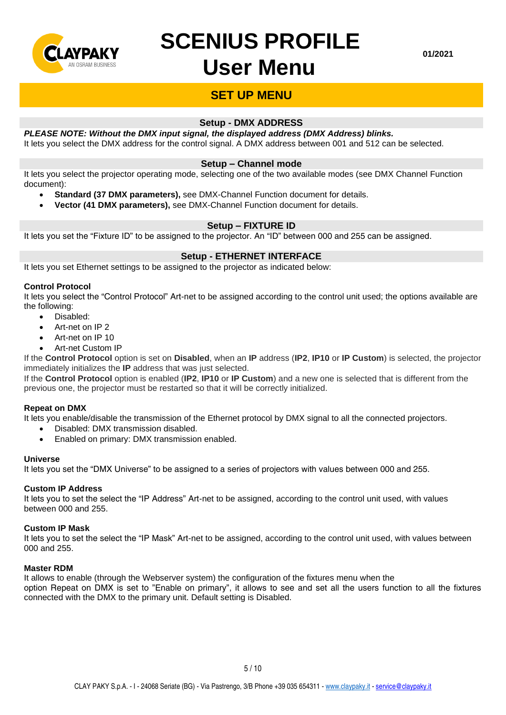

# **SET UP MENU**

# **Setup - DMX ADDRESS**

## *PLEASE NOTE: Without the DMX input signal, the displayed address (DMX Address) blinks.*

It lets you select the DMX address for the control signal. A DMX address between 001 and 512 can be selected.

#### **Setup – Channel mode**

It lets you select the projector operating mode, selecting one of the two available modes (see DMX Channel Function document):

- **Standard (37 DMX parameters),** see DMX-Channel Function document for details.
- **Vector (41 DMX parameters),** see DMX-Channel Function document for details.

#### **Setup – FIXTURE ID**

It lets you set the "Fixture ID" to be assigned to the projector. An "ID" between 000 and 255 can be assigned.

#### **Setup - ETHERNET INTERFACE**

It lets you set Ethernet settings to be assigned to the projector as indicated below:

#### **Control Protocol**

It lets you select the "Control Protocol" Art-net to be assigned according to the control unit used; the options available are the following:

- Disabled:
- Art-net on IP 2
- Art-net on IP 10
- Art-net Custom IP

If the **Control Protocol** option is set on **Disabled**, when an **IP** address (**IP2**, **IP10** or **IP Custom**) is selected, the projector immediately initializes the **IP** address that was just selected.

If the **Control Protocol** option is enabled (**IP2**, **IP10** or **IP Custom**) and a new one is selected that is different from the previous one, the projector must be restarted so that it will be correctly initialized.

#### **Repeat on DMX**

It lets you enable/disable the transmission of the Ethernet protocol by DMX signal to all the connected projectors.

- Disabled: DMX transmission disabled.
- Enabled on primary: DMX transmission enabled.

#### **Universe**

It lets you set the "DMX Universe" to be assigned to a series of projectors with values between 000 and 255.

#### **Custom IP Address**

It lets you to set the select the "IP Address" Art-net to be assigned, according to the control unit used, with values between 000 and 255.

#### **Custom IP Mask**

It lets you to set the select the "IP Mask" Art-net to be assigned, according to the control unit used, with values between 000 and 255.

#### **Master RDM**

It allows to enable (through the Webserver system) the configuration of the fixtures menu when the option Repeat on DMX is set to "Enable on primary", it allows to see and set all the users function to all the fixtures connected with the DMX to the primary unit. Default setting is Disabled.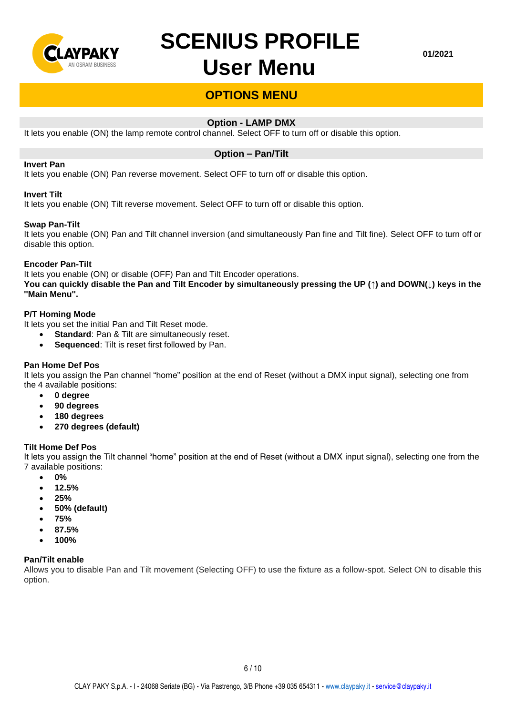

# **OPTIONS MENU**

## **Option - LAMP DMX**

It lets you enable (ON) the lamp remote control channel. Select OFF to turn off or disable this option.

## **Option – Pan/Tilt**

#### **Invert Pan**

It lets you enable (ON) Pan reverse movement. Select OFF to turn off or disable this option.

#### **Invert Tilt**

It lets you enable (ON) Tilt reverse movement. Select OFF to turn off or disable this option.

#### **Swap Pan-Tilt**

It lets you enable (ON) Pan and Tilt channel inversion (and simultaneously Pan fine and Tilt fine). Select OFF to turn off or disable this option.

#### **Encoder Pan-Tilt**

It lets you enable (ON) or disable (OFF) Pan and Tilt Encoder operations. **You can quickly disable the Pan and Tilt Encoder by simultaneously pressing the UP (↑) and DOWN(↓) keys in the ''Main Menu''.**

#### **P/T Homing Mode**

It lets you set the initial Pan and Tilt Reset mode.

- **Standard**: Pan & Tilt are simultaneously reset.
- **Sequenced**: Tilt is reset first followed by Pan.

#### **Pan Home Def Pos**

It lets you assign the Pan channel "home" position at the end of Reset (without a DMX input signal), selecting one from the 4 available positions:

- **0 degree**
- **90 degrees**
- **180 degrees**
- **270 degrees (default)**

#### **Tilt Home Def Pos**

It lets you assign the Tilt channel "home" position at the end of Reset (without a DMX input signal), selecting one from the 7 available positions:

- **0%**
- **12.5%**
- **25%**
- **50% (default)**
- **75%**
- **87.5%**
- **100%**

#### **Pan/Tilt enable**

Allows you to disable Pan and Tilt movement (Selecting OFF) to use the fixture as a follow-spot. Select ON to disable this option.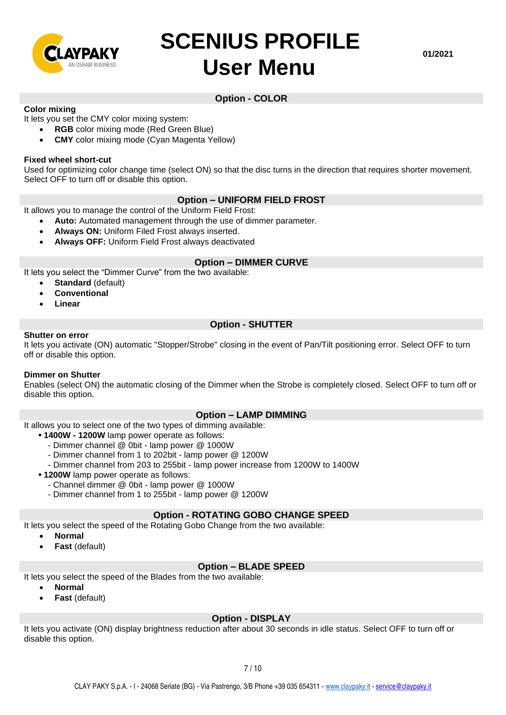

## **Option - COLOR**

#### **Color mixing**

It lets you set the CMY color mixing system:

- **RGB** color mixing mode (Red Green Blue)
- **CMY** color mixing mode (Cyan Magenta Yellow)

#### **Fixed wheel short-cut**

Used for optimizing color change time (select ON) so that the disc turns in the direction that requires shorter movement. Select OFF to turn off or disable this option.

#### **Option – UNIFORM FIELD FROST**

It allows you to manage the control of the Uniform Field Frost:

- **Auto:** Automated management through the use of dimmer parameter.
- **Always ON:** Uniform Filed Frost always inserted.
- **Always OFF:** Uniform Field Frost always deactivated

#### **Option – DIMMER CURVE**

It lets you select the "Dimmer Curve" from the two available:

- **Standard** (default)
- **Conventional**
- **Linear**

#### **Option - SHUTTER**

#### **Shutter on error**

It lets you activate (ON) automatic "Stopper/Strobe" closing in the event of Pan/Tilt positioning error. Select OFF to turn off or disable this option.

#### **Dimmer on Shutter**

Enables (select ON) the automatic closing of the Dimmer when the Strobe is completely closed. Select OFF to turn off or disable this option.

#### **Option – LAMP DIMMING**

It allows you to select one of the two types of dimming available:

- **1400W - 1200W** lamp power operate as follows:
	- Dimmer channel @ 0bit lamp power @ 1000W
	- Dimmer channel from 1 to 202bit lamp power @ 1200W
	- Dimmer channel from 203 to 255bit lamp power increase from 1200W to 1400W
- **1200W** lamp power operate as follows:
	- Channel dimmer @ 0bit lamp power @ 1000W
	- Dimmer channel from 1 to 255bit lamp power @ 1200W

#### **Option - ROTATING GOBO CHANGE SPEED**

It lets you select the speed of the Rotating Gobo Change from the two available:

- **Normal**
- **Fast** (default)

#### **Option – BLADE SPEED**

It lets you select the speed of the Blades from the two available:

- **Normal**
- **Fast** (default)

# **Option - DISPLAY**

It lets you activate (ON) display brightness reduction after about 30 seconds in idle status. Select OFF to turn off or disable this option.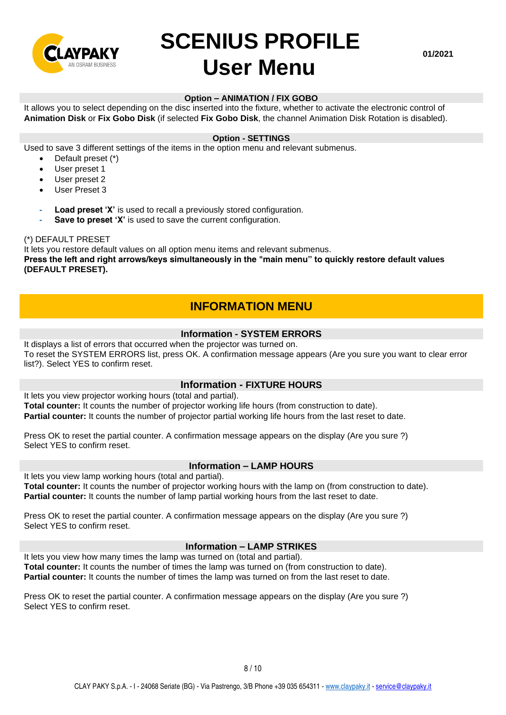

**01/2021**

#### **Option – ANIMATION / FIX GOBO**

It allows you to select depending on the disc inserted into the fixture, whether to activate the electronic control of **Animation Disk** or **Fix Gobo Disk** (if selected **Fix Gobo Disk**, the channel Animation Disk Rotation is disabled).

#### **Option - SETTINGS**

Used to save 3 different settings of the items in the option menu and relevant submenus.

- Default preset (\*)
- User preset 1
- User preset 2
- User Preset 3
- **- Load preset 'X'** is used to recall a previously stored configuration.
- **Save to preset 'X'** is used to save the current configuration.

#### (\*) DEFAULT PRESET

It lets you restore default values on all option menu items and relevant submenus. **Press the left and right arrows/keys simultaneously in the "main menu" to quickly restore default values (DEFAULT PRESET).**

# **INFORMATION MENU**

## **Information - SYSTEM ERRORS**

It displays a list of errors that occurred when the projector was turned on. To reset the SYSTEM ERRORS list, press OK. A confirmation message appears (Are you sure you want to clear error list?). Select YES to confirm reset.

#### **Information - FIXTURE HOURS**

It lets you view projector working hours (total and partial).

**Total counter:** It counts the number of projector working life hours (from construction to date).

**Partial counter:** It counts the number of projector partial working life hours from the last reset to date.

Press OK to reset the partial counter. A confirmation message appears on the display (Are you sure ?) Select YES to confirm reset.

#### **Information – LAMP HOURS**

It lets you view lamp working hours (total and partial). **Total counter:** It counts the number of projector working hours with the lamp on (from construction to date). Partial counter: It counts the number of lamp partial working hours from the last reset to date.

Press OK to reset the partial counter. A confirmation message appears on the display (Are you sure ?) Select YES to confirm reset.

#### **Information – LAMP STRIKES**

It lets you view how many times the lamp was turned on (total and partial). **Total counter:** It counts the number of times the lamp was turned on (from construction to date). **Partial counter:** It counts the number of times the lamp was turned on from the last reset to date.

Press OK to reset the partial counter. A confirmation message appears on the display (Are you sure ?) Select YES to confirm reset.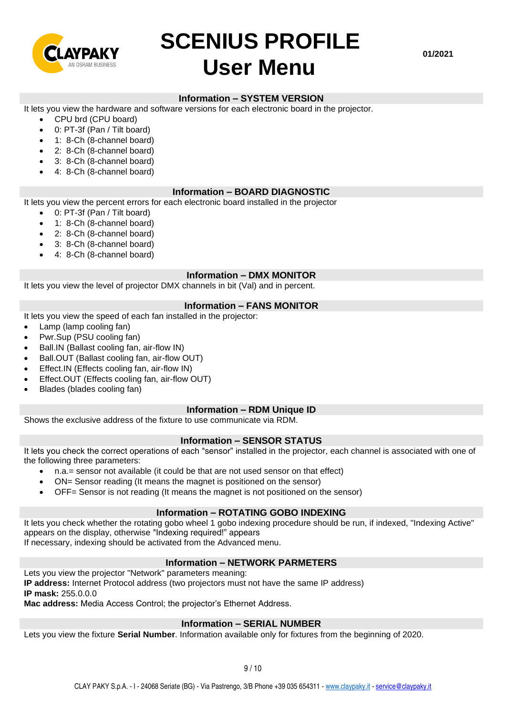

## **Information – SYSTEM VERSION**

It lets you view the hardware and software versions for each electronic board in the projector.

- CPU brd (CPU board)
- 0: PT-3f (Pan / Tilt board)
- 1: 8-Ch (8-channel board)
- 2: 8-Ch (8-channel board)
- 3: 8-Ch (8-channel board)
- 4: 8-Ch (8-channel board)

#### **Information – BOARD DIAGNOSTIC**

It lets you view the percent errors for each electronic board installed in the projector

- 0: PT-3f (Pan / Tilt board)
- 1: 8-Ch (8-channel board)
- 2: 8-Ch (8-channel board)
- 3: 8-Ch (8-channel board)
- 4: 8-Ch (8-channel board)

#### **Information – DMX MONITOR**

It lets you view the level of projector DMX channels in bit (Val) and in percent.

#### **Information – FANS MONITOR**

It lets you view the speed of each fan installed in the projector:

- Lamp (lamp cooling fan)
- Pwr.Sup (PSU cooling fan)
- Ball.IN (Ballast cooling fan, air-flow IN)
- Ball.OUT (Ballast cooling fan, air-flow OUT)
- Effect.IN (Effects cooling fan, air-flow IN)
- Effect.OUT (Effects cooling fan, air-flow OUT)
- Blades (blades cooling fan)

#### **Information – RDM Unique ID**

Shows the exclusive address of the fixture to use communicate via RDM.

#### **Information – SENSOR STATUS**

It lets you check the correct operations of each "sensor" installed in the projector, each channel is associated with one of the following three parameters:

- n.a.= sensor not available (it could be that are not used sensor on that effect)
- ON= Sensor reading (It means the magnet is positioned on the sensor)
- OFF= Sensor is not reading (It means the magnet is not positioned on the sensor)

#### **Information – ROTATING GOBO INDEXING**

It lets you check whether the rotating gobo wheel 1 gobo indexing procedure should be run, if indexed, "Indexing Active" appears on the display, otherwise "Indexing required!" appears

If necessary, indexing should be activated from the Advanced menu.

#### **Information – NETWORK PARMETERS**

Lets you view the projector "Network" parameters meaning: **IP address:** Internet Protocol address (two projectors must not have the same IP address) **IP mask:** 255.0.0.0 **Mac address:** Media Access Control; the projector's Ethernet Address.

#### **Information – SERIAL NUMBER**

Lets you view the fixture **Serial Number**. Information available only for fixtures from the beginning of 2020.